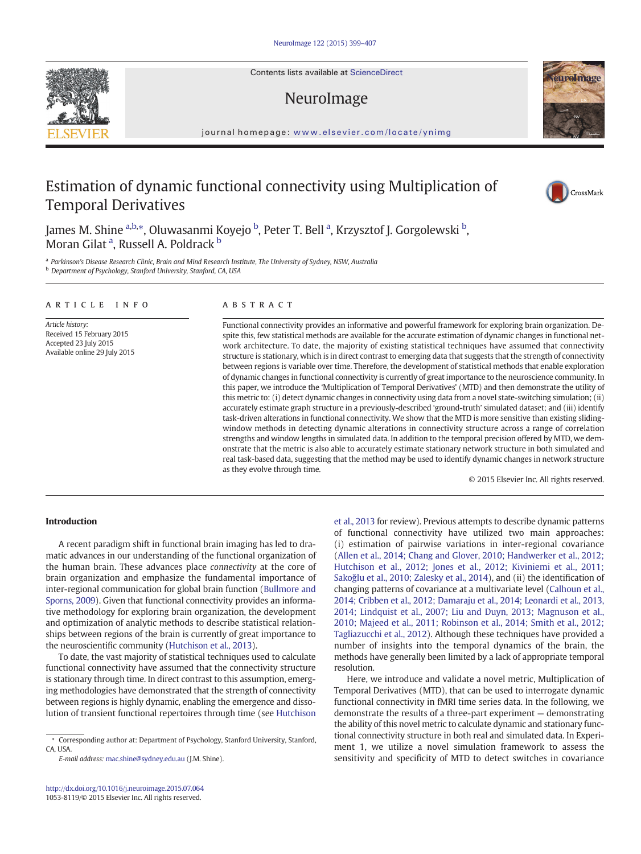Contents lists available at ScienceDirect

# NeuroImage

journal homepage: <www.elsevier.com/locate/ynimg>

# Estimation of dynamic functional connectivity using Multiplication of Temporal Derivatives

James M. Shine <sup>a,b,</sup>\*, Oluwasanmi Koyejo <sup>b</sup>, Peter T. Bell <sup>a</sup>, Krzysztof J. Gorgolewski <sup>b</sup>, Moran Gilat <sup>a</sup>, Russell A. Poldrack <sup>b</sup>

a Parkinson's Disease Research Clinic, Brain and Mind Research Institute, The University of Sydney, NSW, Australia <sup>b</sup> Department of Psychology, Stanford University, Stanford, CA, USA

#### article info abstract

Article history: Received 15 February 2015 Accepted 23 July 2015 Available online 29 July 2015

Functional connectivity provides an informative and powerful framework for exploring brain organization. Despite this, few statistical methods are available for the accurate estimation of dynamic changes in functional network architecture. To date, the majority of existing statistical techniques have assumed that connectivity structure is stationary, which is in direct contrast to emerging data that suggests that the strength of connectivity between regions is variable over time. Therefore, the development of statistical methods that enable exploration of dynamic changes in functional connectivity is currently of great importance to the neuroscience community. In this paper, we introduce the 'Multiplication of Temporal Derivatives' (MTD) and then demonstrate the utility of this metric to: (i) detect dynamic changes in connectivity using data from a novel state-switching simulation; (ii) accurately estimate graph structure in a previously-described 'ground-truth' simulated dataset; and (iii) identify task-driven alterations in functional connectivity. We show that the MTD is more sensitive than existing slidingwindow methods in detecting dynamic alterations in connectivity structure across a range of correlation strengths and window lengths in simulated data. In addition to the temporal precision offered by MTD, we demonstrate that the metric is also able to accurately estimate stationary network structure in both simulated and real task-based data, suggesting that the method may be used to identify dynamic changes in network structure as they evolve through time.

© 2015 Elsevier Inc. All rights reserved.

#### Introduction

A recent paradigm shift in functional brain imaging has led to dramatic advances in our understanding of the functional organization of the human brain. These advances place connectivity at the core of brain organization and emphasize the fundamental importance of inter-regional communication for global brain function [\(Bullmore and](#page-8-0) [Sporns, 2009](#page-8-0)). Given that functional connectivity provides an informative methodology for exploring brain organization, the development and optimization of analytic methods to describe statistical relationships between regions of the brain is currently of great importance to the neuroscientific community [\(Hutchison et al., 2013](#page-8-0)).

To date, the vast majority of statistical techniques used to calculate functional connectivity have assumed that the connectivity structure is stationary through time. In direct contrast to this assumption, emerging methodologies have demonstrated that the strength of connectivity between regions is highly dynamic, enabling the emergence and dissolution of transient functional repertoires through time (see [Hutchison](#page-8-0)

of functional connectivity have utilized two main approaches: (i) estimation of pairwise variations in inter-regional covariance [\(Allen et al., 2014; Chang and Glover, 2010; Handwerker et al., 2012;](#page-8-0) [Hutchison et al., 2012; Jones et al., 2012; Kiviniemi et al., 2011;](#page-8-0) Sakoğ[lu et al., 2010; Zalesky et al., 2014\)](#page-8-0), and (ii) the identification of changing patterns of covariance at a multivariate level ([Calhoun et al.,](#page-8-0) [2014; Cribben et al., 2012; Damaraju et al., 2014; Leonardi et al., 2013,](#page-8-0) [2014; Lindquist et al., 2007; Liu and Duyn, 2013; Magnuson et al.,](#page-8-0) [2010; Majeed et al., 2011; Robinson et al., 2014; Smith et al., 2012;](#page-8-0) [Tagliazucchi et al., 2012\)](#page-8-0). Although these techniques have provided a number of insights into the temporal dynamics of the brain, the methods have generally been limited by a lack of appropriate temporal resolution.

[et al., 2013](#page-8-0) for review). Previous attempts to describe dynamic patterns

Here, we introduce and validate a novel metric, Multiplication of Temporal Derivatives (MTD), that can be used to interrogate dynamic functional connectivity in fMRI time series data. In the following, we demonstrate the results of a three-part experiment — demonstrating the ability of this novel metric to calculate dynamic and stationary functional connectivity structure in both real and simulated data. In Experiment 1, we utilize a novel simulation framework to assess the sensitivity and specificity of MTD to detect switches in covariance







<sup>⁎</sup> Corresponding author at: Department of Psychology, Stanford University, Stanford, CA, USA.

E-mail address: [mac.shine@sydney.edu.au](mailto:mac.shine@sydney.edu.au) (J.M. Shine).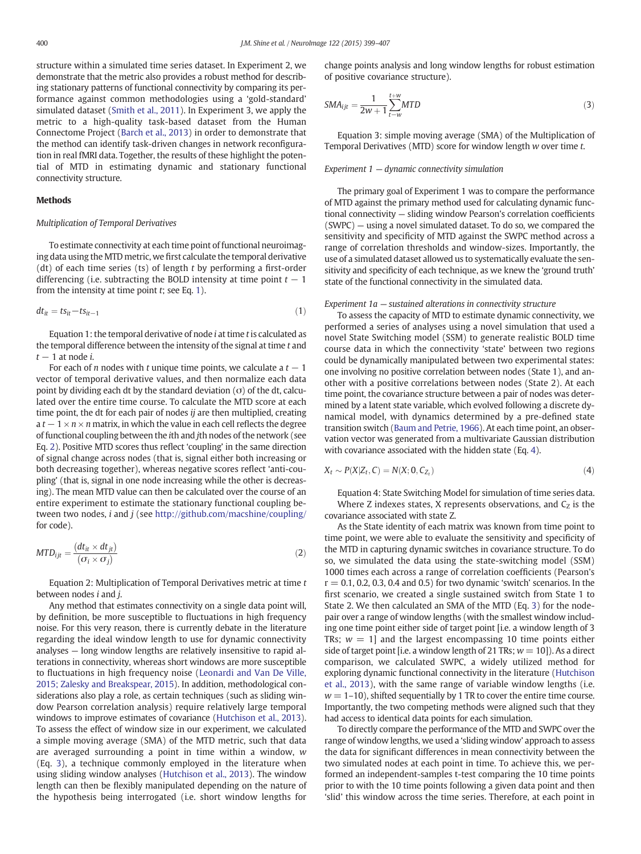<span id="page-1-0"></span>structure within a simulated time series dataset. In Experiment 2, we demonstrate that the metric also provides a robust method for describing stationary patterns of functional connectivity by comparing its performance against common methodologies using a 'gold-standard' simulated dataset ([Smith et al., 2011](#page-8-0)). In Experiment 3, we apply the metric to a high-quality task-based dataset from the Human Connectome Project ([Barch et al., 2013](#page-8-0)) in order to demonstrate that the method can identify task-driven changes in network reconfiguration in real fMRI data. Together, the results of these highlight the potential of MTD in estimating dynamic and stationary functional connectivity structure.

#### Methods

## Multiplication of Temporal Derivatives

To estimate connectivity at each time point of functional neuroimaging data using the MTD metric, we first calculate the temporal derivative (dt) of each time series (ts) of length  $t$  by performing a first-order differencing (i.e. subtracting the BOLD intensity at time point  $t - 1$ from the intensity at time point  $t$ ; see Eq. 1).

$$
dt_{it} = ts_{it} - ts_{it-1} \tag{1}
$$

Equation 1: the temporal derivative of node  $i$  at time  $t$  is calculated as the temporal difference between the intensity of the signal at time  $t$  and  $t - 1$  at node i.

For each of *n* nodes with t unique time points, we calculate a  $t - 1$ vector of temporal derivative values, and then normalize each data point by dividing each dt by the standard deviation  $(\sigma)$  of the dt, calculated over the entire time course. To calculate the MTD score at each time point, the dt for each pair of nodes ij are then multiplied, creating a  $t - 1 \times n \times n$  matrix, in which the value in each cell reflects the degree of functional coupling between the ith and jth nodes of the network (see Eq. 2). Positive MTD scores thus reflect 'coupling' in the same direction of signal change across nodes (that is, signal either both increasing or both decreasing together), whereas negative scores reflect 'anti-coupling' (that is, signal in one node increasing while the other is decreasing). The mean MTD value can then be calculated over the course of an entire experiment to estimate the stationary functional coupling between two nodes, *i* and *j* (see <http://github.com/macshine/coupling/> for code).

$$
MTD_{ijt} = \frac{(dt_{it} \times dt_{jt})}{(\sigma_i \times \sigma_j)}
$$
\n(2)

Equation 2: Multiplication of Temporal Derivatives metric at time t between nodes  $i$  and  $j$ .

Any method that estimates connectivity on a single data point will, by definition, be more susceptible to fluctuations in high frequency noise. For this very reason, there is currently debate in the literature regarding the ideal window length to use for dynamic connectivity analyses — long window lengths are relatively insensitive to rapid alterations in connectivity, whereas short windows are more susceptible to fluctuations in high frequency noise [\(Leonardi and Van De Ville,](#page-8-0) [2015; Zalesky and Breakspear, 2015\)](#page-8-0). In addition, methodological considerations also play a role, as certain techniques (such as sliding window Pearson correlation analysis) require relatively large temporal windows to improve estimates of covariance [\(Hutchison et al., 2013\)](#page-8-0). To assess the effect of window size in our experiment, we calculated a simple moving average (SMA) of the MTD metric, such that data are averaged surrounding a point in time within a window, w (Eq. 3), a technique commonly employed in the literature when using sliding window analyses [\(Hutchison et al., 2013](#page-8-0)). The window length can then be flexibly manipulated depending on the nature of the hypothesis being interrogated (i.e. short window lengths for

change points analysis and long window lengths for robust estimation of positive covariance structure).

$$
SMA_{ijt} = \frac{1}{2w+1} \sum_{t-w}^{t+w} MTD \tag{3}
$$

Equation 3: simple moving average (SMA) of the Multiplication of Temporal Derivatives (MTD) score for window length w over time t.

#### Experiment 1 — dynamic connectivity simulation

The primary goal of Experiment 1 was to compare the performance of MTD against the primary method used for calculating dynamic functional connectivity — sliding window Pearson's correlation coefficients (SWPC) — using a novel simulated dataset. To do so, we compared the sensitivity and specificity of MTD against the SWPC method across a range of correlation thresholds and window-sizes. Importantly, the use of a simulated dataset allowed us to systematically evaluate the sensitivity and specificity of each technique, as we knew the 'ground truth' state of the functional connectivity in the simulated data.

#### Experiment 1a — sustained alterations in connectivity structure

To assess the capacity of MTD to estimate dynamic connectivity, we performed a series of analyses using a novel simulation that used a novel State Switching model (SSM) to generate realistic BOLD time course data in which the connectivity 'state' between two regions could be dynamically manipulated between two experimental states: one involving no positive correlation between nodes (State 1), and another with a positive correlations between nodes (State 2). At each time point, the covariance structure between a pair of nodes was determined by a latent state variable, which evolved following a discrete dynamical model, with dynamics determined by a pre-defined state transition switch [\(Baum and Petrie, 1966](#page-8-0)). At each time point, an observation vector was generated from a multivariate Gaussian distribution with covariance associated with the hidden state (Eq. 4).

$$
X_t \sim P(X|Z_t, C) = N(X; 0, C_{Z_t})
$$
\n
$$
\tag{4}
$$

Equation 4: State Switching Model for simulation of time series data. Where Z indexes states, X represents observations, and  $C<sub>7</sub>$  is the covariance associated with state Z.

As the State identity of each matrix was known from time point to time point, we were able to evaluate the sensitivity and specificity of the MTD in capturing dynamic switches in covariance structure. To do so, we simulated the data using the state-switching model (SSM) 1000 times each across a range of correlation coefficients (Pearson's  $r = 0.1, 0.2, 0.3, 0.4$  and 0.5) for two dynamic 'switch' scenarios. In the first scenario, we created a single sustained switch from State 1 to State 2. We then calculated an SMA of the MTD (Eq. 3) for the nodepair over a range of window lengths (with the smallest window including one time point either side of target point [i.e. a window length of 3 TRs;  $w = 1$ ] and the largest encompassing 10 time points either side of target point [i.e. a window length of 21 TRs;  $w = 10$ ]). As a direct comparison, we calculated SWPC, a widely utilized method for exploring dynamic functional connectivity in the literature [\(Hutchison](#page-8-0) [et al., 2013\)](#page-8-0), with the same range of variable window lengths (i.e.  $w = 1-10$ ), shifted sequentially by 1 TR to cover the entire time course. Importantly, the two competing methods were aligned such that they had access to identical data points for each simulation.

To directly compare the performance of the MTD and SWPC over the range of window lengths, we used a 'sliding window' approach to assess the data for significant differences in mean connectivity between the two simulated nodes at each point in time. To achieve this, we performed an independent-samples t-test comparing the 10 time points prior to with the 10 time points following a given data point and then 'slid' this window across the time series. Therefore, at each point in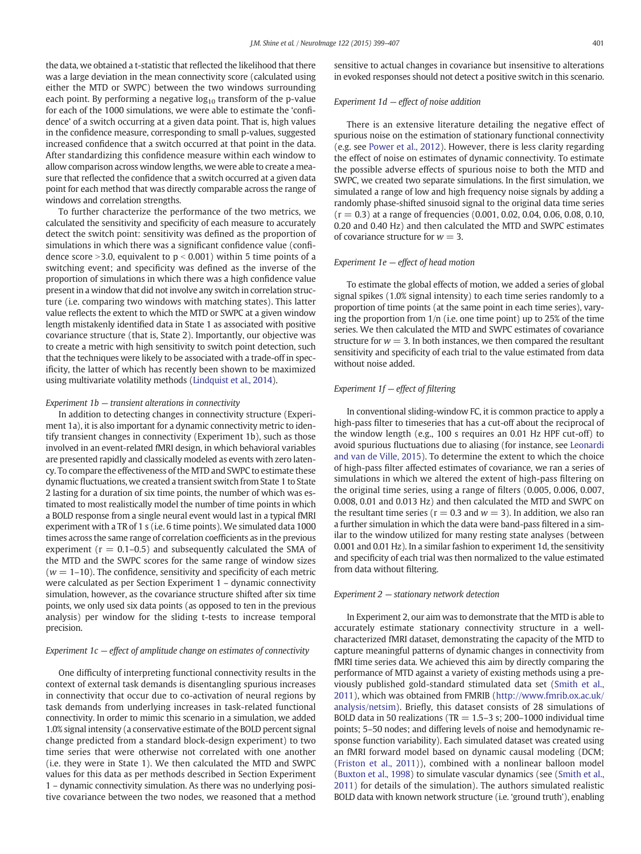the data, we obtained a t-statistic that reflected the likelihood that there was a large deviation in the mean connectivity score (calculated using either the MTD or SWPC) between the two windows surrounding each point. By performing a negative  $log_{10}$  transform of the p-value for each of the 1000 simulations, we were able to estimate the 'confidence' of a switch occurring at a given data point. That is, high values in the confidence measure, corresponding to small p-values, suggested increased confidence that a switch occurred at that point in the data. After standardizing this confidence measure within each window to allow comparison across window lengths, we were able to create a measure that reflected the confidence that a switch occurred at a given data point for each method that was directly comparable across the range of windows and correlation strengths.

To further characterize the performance of the two metrics, we calculated the sensitivity and specificity of each measure to accurately detect the switch point: sensitivity was defined as the proportion of simulations in which there was a significant confidence value (confidence score  $>$ 3.0, equivalent to  $p$  < 0.001) within 5 time points of a switching event; and specificity was defined as the inverse of the proportion of simulations in which there was a high confidence value present in a window that did not involve any switch in correlation structure (i.e. comparing two windows with matching states). This latter value reflects the extent to which the MTD or SWPC at a given window length mistakenly identified data in State 1 as associated with positive covariance structure (that is, State 2). Importantly, our objective was to create a metric with high sensitivity to switch point detection, such that the techniques were likely to be associated with a trade-off in specificity, the latter of which has recently been shown to be maximized using multivariate volatility methods [\(Lindquist et al., 2014\)](#page-8-0).

#### Experiment  $1b$  – transient alterations in connectivity

In addition to detecting changes in connectivity structure (Experiment 1a), it is also important for a dynamic connectivity metric to identify transient changes in connectivity (Experiment 1b), such as those involved in an event-related fMRI design, in which behavioral variables are presented rapidly and classically modeled as events with zero latency. To compare the effectiveness of the MTD and SWPC to estimate these dynamic fluctuations, we created a transient switch from State 1 to State 2 lasting for a duration of six time points, the number of which was estimated to most realistically model the number of time points in which a BOLD response from a single neural event would last in a typical fMRI experiment with a TR of 1 s (i.e. 6 time points). We simulated data 1000 times across the same range of correlation coefficients as in the previous experiment ( $r = 0.1-0.5$ ) and subsequently calculated the SMA of the MTD and the SWPC scores for the same range of window sizes  $(w = 1-10)$ . The confidence, sensitivity and specificity of each metric were calculated as per Section Experiment 1 – dynamic connectivity simulation, however, as the covariance structure shifted after six time points, we only used six data points (as opposed to ten in the previous analysis) per window for the sliding t-tests to increase temporal precision.

#### Experiment  $1c$  – effect of amplitude change on estimates of connectivity

One difficulty of interpreting functional connectivity results in the context of external task demands is disentangling spurious increases in connectivity that occur due to co-activation of neural regions by task demands from underlying increases in task-related functional connectivity. In order to mimic this scenario in a simulation, we added 1.0% signal intensity (a conservative estimate of the BOLD percent signal change predicted from a standard block-design experiment) to two time series that were otherwise not correlated with one another (i.e. they were in State 1). We then calculated the MTD and SWPC values for this data as per methods described in Section Experiment 1 – dynamic connectivity simulation. As there was no underlying positive covariance between the two nodes, we reasoned that a method

sensitive to actual changes in covariance but insensitive to alterations in evoked responses should not detect a positive switch in this scenario.

#### Experiment  $1d$  – effect of noise addition

There is an extensive literature detailing the negative effect of spurious noise on the estimation of stationary functional connectivity (e.g. see [Power et al., 2012](#page-8-0)). However, there is less clarity regarding the effect of noise on estimates of dynamic connectivity. To estimate the possible adverse effects of spurious noise to both the MTD and SWPC, we created two separate simulations. In the first simulation, we simulated a range of low and high frequency noise signals by adding a randomly phase-shifted sinusoid signal to the original data time series  $(r = 0.3)$  at a range of frequencies  $(0.001, 0.02, 0.04, 0.06, 0.08, 0.10,$ 0.20 and 0.40 Hz) and then calculated the MTD and SWPC estimates of covariance structure for  $w = 3$ .

#### Experiment 1e — effect of head motion

To estimate the global effects of motion, we added a series of global signal spikes (1.0% signal intensity) to each time series randomly to a proportion of time points (at the same point in each time series), varying the proportion from 1/n (i.e. one time point) up to 25% of the time series. We then calculated the MTD and SWPC estimates of covariance structure for  $w = 3$ . In both instances, we then compared the resultant sensitivity and specificity of each trial to the value estimated from data without noise added.

### Experiment  $1f$  – effect of filtering

In conventional sliding-window FC, it is common practice to apply a high-pass filter to timeseries that has a cut-off about the reciprocal of the window length (e.g., 100 s requires an 0.01 Hz HPF cut-off) to avoid spurious fluctuations due to aliasing (for instance, see [Leonardi](#page-8-0) [and van de Ville, 2015\)](#page-8-0). To determine the extent to which the choice of high-pass filter affected estimates of covariance, we ran a series of simulations in which we altered the extent of high-pass filtering on the original time series, using a range of filters (0.005, 0.006, 0.007, 0.008, 0.01 and 0.013 Hz) and then calculated the MTD and SWPC on the resultant time series ( $r = 0.3$  and  $w = 3$ ). In addition, we also ran a further simulation in which the data were band-pass filtered in a similar to the window utilized for many resting state analyses (between 0.001 and 0.01 Hz). In a similar fashion to experiment 1d, the sensitivity and specificity of each trial was then normalized to the value estimated from data without filtering.

#### Experiment 2 — stationary network detection

In Experiment 2, our aim was to demonstrate that the MTD is able to accurately estimate stationary connectivity structure in a wellcharacterized fMRI dataset, demonstrating the capacity of the MTD to capture meaningful patterns of dynamic changes in connectivity from fMRI time series data. We achieved this aim by directly comparing the performance of MTD against a variety of existing methods using a previously published gold-standard stimulated data set [\(Smith et al.,](#page-8-0) [2011\)](#page-8-0), which was obtained from FMRIB [\(http://www.fmrib.ox.ac.uk/](http://www.fmrib.ox.ac.uk/analysis/netsim) [analysis/netsim\)](http://www.fmrib.ox.ac.uk/analysis/netsim). Briefly, this dataset consists of 28 simulations of BOLD data in 50 realizations (TR =  $1.5-3$  s; 200-1000 individual time points; 5–50 nodes; and differing levels of noise and hemodynamic response function variability). Each simulated dataset was created using an fMRI forward model based on dynamic causal modeling (DCM; [\(Friston et al., 2011\)](#page-8-0)), combined with a nonlinear balloon model [\(Buxton et al., 1998](#page-8-0)) to simulate vascular dynamics (see [\(Smith et al.,](#page-8-0) [2011\)](#page-8-0) for details of the simulation). The authors simulated realistic BOLD data with known network structure (i.e. 'ground truth'), enabling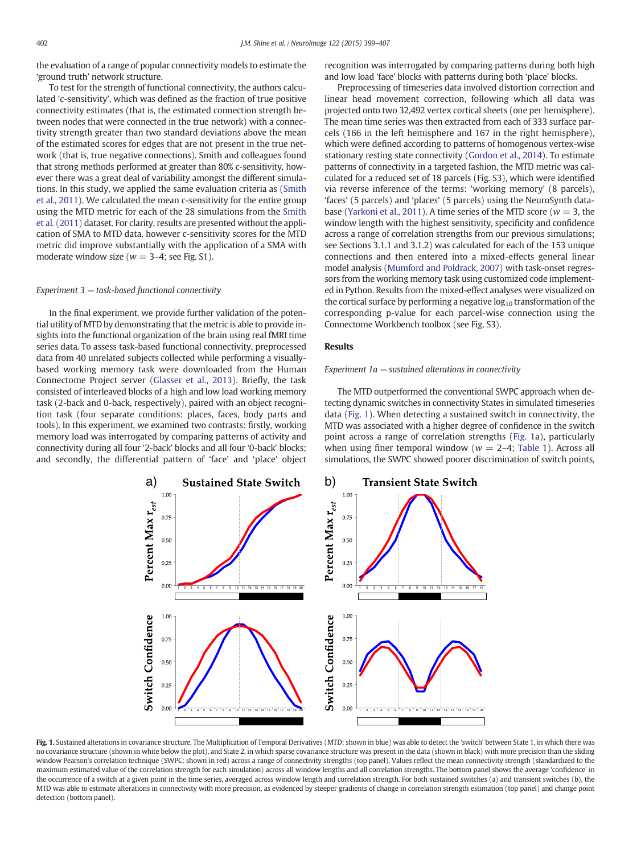<span id="page-3-0"></span>the evaluation of a range of popular connectivity models to estimate the 'ground truth' network structure.

To test for the strength of functional connectivity, the authors calculated 'c-sensitivity', which was defined as the fraction of true positive connectivity estimates (that is, the estimated connection strength between nodes that were connected in the true network) with a connectivity strength greater than two standard deviations above the mean of the estimated scores for edges that are not present in the true network (that is, true negative connections). Smith and colleagues found that strong methods performed at greater than 80% c-sensitivity, however there was a great deal of variability amongst the different simulations. In this study, we applied the same evaluation criteria as [\(Smith](#page-8-0) [et al., 2011\)](#page-8-0). We calculated the mean c-sensitivity for the entire group using the MTD metric for each of the 28 simulations from the [Smith](#page-8-0) [et al. \(2011\)](#page-8-0) dataset. For clarity, results are presented without the application of SMA to MTD data, however c-sensitivity scores for the MTD metric did improve substantially with the application of a SMA with moderate window size ( $w = 3-4$ ; see Fig. S1).

# Experiment 3 — task-based functional connectivity

In the final experiment, we provide further validation of the potential utility of MTD by demonstrating that the metric is able to provide insights into the functional organization of the brain using real fMRI time series data. To assess task-based functional connectivity, preprocessed data from 40 unrelated subjects collected while performing a visuallybased working memory task were downloaded from the Human Connectome Project server ([Glasser et al., 2013\)](#page-8-0). Briefly, the task consisted of interleaved blocks of a high and low load working memory task (2-back and 0-back, respectively), paired with an object recognition task (four separate conditions: places, faces, body parts and tools). In this experiment, we examined two contrasts: firstly, working memory load was interrogated by comparing patterns of activity and connectivity during all four '2-back' blocks and all four '0-back' blocks; and secondly, the differential pattern of 'face' and 'place' object recognition was interrogated by comparing patterns during both high and low load 'face' blocks with patterns during both 'place' blocks.

Preprocessing of timeseries data involved distortion correction and linear head movement correction, following which all data was projected onto two 32,492 vertex cortical sheets (one per hemisphere). The mean time series was then extracted from each of 333 surface parcels (166 in the left hemisphere and 167 in the right hemisphere), which were defined according to patterns of homogenous vertex-wise stationary resting state connectivity ([Gordon et al., 2014\)](#page-8-0). To estimate patterns of connectivity in a targeted fashion, the MTD metric was calculated for a reduced set of 18 parcels (Fig. S3), which were identified via reverse inference of the terms: 'working memory' (8 parcels), 'faces' (5 parcels) and 'places' (5 parcels) using the NeuroSynth data-base [\(Yarkoni et al., 2011\)](#page-8-0). A time series of the MTD score ( $w = 3$ , the window length with the highest sensitivity, specificity and confidence across a range of correlation strengths from our previous simulations; see Sections 3.1.1 and 3.1.2) was calculated for each of the 153 unique connections and then entered into a mixed-effects general linear model analysis [\(Mumford and Poldrack, 2007](#page-8-0)) with task-onset regressors from the working memory task using customized code implemented in Python. Results from the mixed-effect analyses were visualized on the cortical surface by performing a negative  $log_{10}$  transformation of the corresponding p-value for each parcel-wise connection using the Connectome Workbench toolbox (see Fig. S3).

#### Results

#### Experiment 1a — sustained alterations in connectivity

The MTD outperformed the conventional SWPC approach when detecting dynamic switches in connectivity States in simulated timeseries data (Fig. 1). When detecting a sustained switch in connectivity, the MTD was associated with a higher degree of confidence in the switch point across a range of correlation strengths (Fig. 1a), particularly when using finer temporal window ( $w = 2-4$ ; [Table 1\)](#page-4-0). Across all simulations, the SWPC showed poorer discrimination of switch points,



Fig. 1. Sustained alterations in covariance structure. The Multiplication of Temporal Derivatives (MTD; shown in blue) was able to detect the 'switch' between State 1, in which there was no covariance structure (shown in white below the plot), and State 2, in which sparse covariance structure was present in the data (shown in black) with more precision than the sliding window Pearson's correlation technique (SWPC; shown in red) across a range of connectivity strengths (top panel). Values reflect the mean connectivity strength (standardized to the maximum estimated value of the correlation strength for each simulation) across all window lengths and all correlation strengths. The bottom panel shows the average 'confidence' in the occurrence of a switch at a given point in the time series, averaged across window length and correlation strength. For both sustained switches (a) and transient switches (b), the MTD was able to estimate alterations in connectivity with more precision, as evidenced by steeper gradients of change in correlation strength estimation (top panel) and change point detection (bottom panel).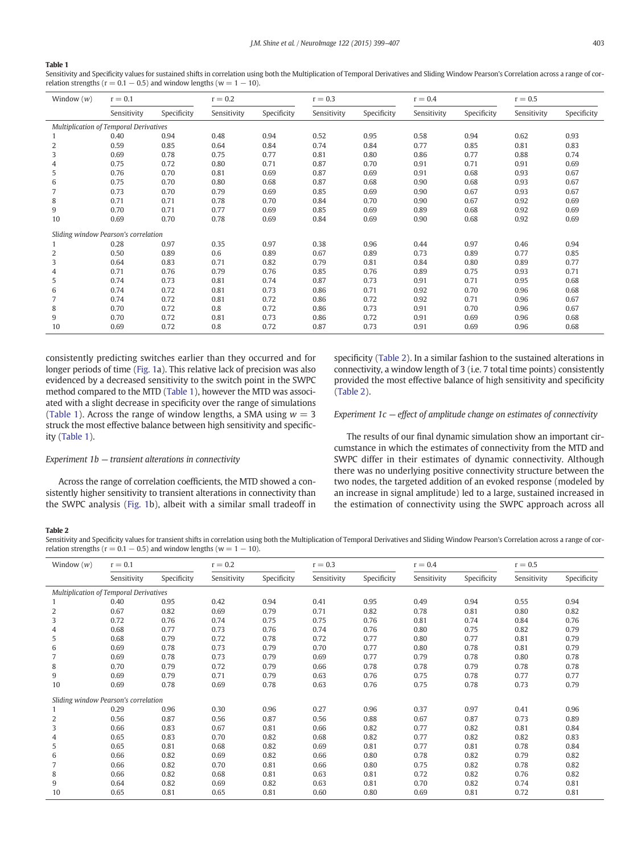#### <span id="page-4-0"></span>Table 1

Sensitivity and Specificity values for sustained shifts in correlation using both the Multiplication of Temporal Derivatives and Sliding Window Pearson's Correlation across a range of correlation strengths ( $r = 0.1 - 0.5$ ) and window lengths ( $w = 1 - 10$ ).

| Window $(w)$                           | $r = 0.1$   |             | $r = 0.2$   |             | $r = 0.3$   |             | $r = 0.4$   |             | $r = 0.5$   |             |
|----------------------------------------|-------------|-------------|-------------|-------------|-------------|-------------|-------------|-------------|-------------|-------------|
|                                        | Sensitivity | Specificity | Sensitivity | Specificity | Sensitivity | Specificity | Sensitivity | Specificity | Sensitivity | Specificity |
| Multiplication of Temporal Derivatives |             |             |             |             |             |             |             |             |             |             |
|                                        | 0.40        | 0.94        | 0.48        | 0.94        | 0.52        | 0.95        | 0.58        | 0.94        | 0.62        | 0.93        |
| 2                                      | 0.59        | 0.85        | 0.64        | 0.84        | 0.74        | 0.84        | 0.77        | 0.85        | 0.81        | 0.83        |
| 3                                      | 0.69        | 0.78        | 0.75        | 0.77        | 0.81        | 0.80        | 0.86        | 0.77        | 0.88        | 0.74        |
| 4                                      | 0.75        | 0.72        | 0.80        | 0.71        | 0.87        | 0.70        | 0.91        | 0.71        | 0.91        | 0.69        |
| 5                                      | 0.76        | 0.70        | 0.81        | 0.69        | 0.87        | 0.69        | 0.91        | 0.68        | 0.93        | 0.67        |
| 6                                      | 0.75        | 0.70        | 0.80        | 0.68        | 0.87        | 0.68        | 0.90        | 0.68        | 0.93        | 0.67        |
|                                        | 0.73        | 0.70        | 0.79        | 0.69        | 0.85        | 0.69        | 0.90        | 0.67        | 0.93        | 0.67        |
| 8                                      | 0.71        | 0.71        | 0.78        | 0.70        | 0.84        | 0.70        | 0.90        | 0.67        | 0.92        | 0.69        |
| 9                                      | 0.70        | 0.71        | 0.77        | 0.69        | 0.85        | 0.69        | 0.89        | 0.68        | 0.92        | 0.69        |
| 10                                     | 0.69        | 0.70        | 0.78        | 0.69        | 0.84        | 0.69        | 0.90        | 0.68        | 0.92        | 0.69        |
| Sliding window Pearson's correlation   |             |             |             |             |             |             |             |             |             |             |
|                                        | 0.28        | 0.97        | 0.35        | 0.97        | 0.38        | 0.96        | 0.44        | 0.97        | 0.46        | 0.94        |
| 2                                      | 0.50        | 0.89        | 0.6         | 0.89        | 0.67        | 0.89        | 0.73        | 0.89        | 0.77        | 0.85        |
| 3                                      | 0.64        | 0.83        | 0.71        | 0.82        | 0.79        | 0.81        | 0.84        | 0.80        | 0.89        | 0.77        |
| 4                                      | 0.71        | 0.76        | 0.79        | 0.76        | 0.85        | 0.76        | 0.89        | 0.75        | 0.93        | 0.71        |
| 5                                      | 0.74        | 0.73        | 0.81        | 0.74        | 0.87        | 0.73        | 0.91        | 0.71        | 0.95        | 0.68        |
| 6                                      | 0.74        | 0.72        | 0.81        | 0.73        | 0.86        | 0.71        | 0.92        | 0.70        | 0.96        | 0.68        |
|                                        | 0.74        | 0.72        | 0.81        | 0.72        | 0.86        | 0.72        | 0.92        | 0.71        | 0.96        | 0.67        |
| 8                                      | 0.70        | 0.72        | 0.8         | 0.72        | 0.86        | 0.73        | 0.91        | 0.70        | 0.96        | 0.67        |
| 9                                      | 0.70        | 0.72        | 0.81        | 0.73        | 0.86        | 0.72        | 0.91        | 0.69        | 0.96        | 0.68        |
| 10                                     | 0.69        | 0.72        | 0.8         | 0.72        | 0.87        | 0.73        | 0.91        | 0.69        | 0.96        | 0.68        |

consistently predicting switches earlier than they occurred and for longer periods of time [\(Fig. 1a](#page-3-0)). This relative lack of precision was also evidenced by a decreased sensitivity to the switch point in the SWPC method compared to the MTD (Table 1), however the MTD was associated with a slight decrease in specificity over the range of simulations (Table 1). Across the range of window lengths, a SMA using  $w = 3$ struck the most effective balance between high sensitivity and specificity (Table 1).

# Experiment 1b — transient alterations in connectivity

Across the range of correlation coefficients, the MTD showed a consistently higher sensitivity to transient alterations in connectivity than the SWPC analysis [\(Fig. 1b](#page-3-0)), albeit with a similar small tradeoff in specificity (Table 2). In a similar fashion to the sustained alterations in connectivity, a window length of 3 (i.e. 7 total time points) consistently provided the most effective balance of high sensitivity and specificity (Table 2).

### Experiment  $1c$  – effect of amplitude change on estimates of connectivity

The results of our final dynamic simulation show an important circumstance in which the estimates of connectivity from the MTD and SWPC differ in their estimates of dynamic connectivity. Although there was no underlying positive connectivity structure between the two nodes, the targeted addition of an evoked response (modeled by an increase in signal amplitude) led to a large, sustained increased in the estimation of connectivity using the SWPC approach across all

#### Table 2

Sensitivity and Specificity values for transient shifts in correlation using both the Multiplication of Temporal Derivatives and Sliding Window Pearson's Correlation across a range of correlation strengths ( $r = 0.1 - 0.5$ ) and window lengths ( $w = 1 - 10$ ).

| Window $(w)$                           | $r = 0.1$   |             | $r = 0.2$   |             | $r = 0.3$   |             | $r = 0.4$   |             | $r = 0.5$   |             |
|----------------------------------------|-------------|-------------|-------------|-------------|-------------|-------------|-------------|-------------|-------------|-------------|
|                                        | Sensitivity | Specificity | Sensitivity | Specificity | Sensitivity | Specificity | Sensitivity | Specificity | Sensitivity | Specificity |
| Multiplication of Temporal Derivatives |             |             |             |             |             |             |             |             |             |             |
|                                        | 0.40        | 0.95        | 0.42        | 0.94        | 0.41        | 0.95        | 0.49        | 0.94        | 0.55        | 0.94        |
| 2                                      | 0.67        | 0.82        | 0.69        | 0.79        | 0.71        | 0.82        | 0.78        | 0.81        | 0.80        | 0.82        |
| 3                                      | 0.72        | 0.76        | 0.74        | 0.75        | 0.75        | 0.76        | 0.81        | 0.74        | 0.84        | 0.76        |
| 4                                      | 0.68        | 0.77        | 0.73        | 0.76        | 0.74        | 0.76        | 0.80        | 0.75        | 0.82        | 0.79        |
| 5                                      | 0.68        | 0.79        | 0.72        | 0.78        | 0.72        | 0.77        | 0.80        | 0.77        | 0.81        | 0.79        |
| 6                                      | 0.69        | 0.78        | 0.73        | 0.79        | 0.70        | 0.77        | 0.80        | 0.78        | 0.81        | 0.79        |
| 7                                      | 0.69        | 0.78        | 0.73        | 0.79        | 0.69        | 0.77        | 0.79        | 0.78        | 0.80        | 0.78        |
| 8                                      | 0.70        | 0.79        | 0.72        | 0.79        | 0.66        | 0.78        | 0.78        | 0.79        | 0.78        | 0.78        |
| 9                                      | 0.69        | 0.79        | 0.71        | 0.79        | 0.63        | 0.76        | 0.75        | 0.78        | 0.77        | 0.77        |
| 10                                     | 0.69        | 0.78        | 0.69        | 0.78        | 0.63        | 0.76        | 0.75        | 0.78        | 0.73        | 0.79        |
| Sliding window Pearson's correlation   |             |             |             |             |             |             |             |             |             |             |
|                                        | 0.29        | 0.96        | 0.30        | 0.96        | 0.27        | 0.96        | 0.37        | 0.97        | 0.41        | 0.96        |
| 2                                      | 0.56        | 0.87        | 0.56        | 0.87        | 0.56        | 0.88        | 0.67        | 0.87        | 0.73        | 0.89        |
| 3                                      | 0.66        | 0.83        | 0.67        | 0.81        | 0.66        | 0.82        | 0.77        | 0.82        | 0.81        | 0.84        |
| 4                                      | 0.65        | 0.83        | 0.70        | 0.82        | 0.68        | 0.82        | 0.77        | 0.82        | 0.82        | 0.83        |
| 5                                      | 0.65        | 0.81        | 0.68        | 0.82        | 0.69        | 0.81        | 0.77        | 0.81        | 0.78        | 0.84        |
| 6                                      | 0.66        | 0.82        | 0.69        | 0.82        | 0.66        | 0.80        | 0.78        | 0.82        | 0.79        | 0.82        |
| 7                                      | 0.66        | 0.82        | 0.70        | 0.81        | 0.66        | 0.80        | 0.75        | 0.82        | 0.78        | 0.82        |
| 8                                      | 0.66        | 0.82        | 0.68        | 0.81        | 0.63        | 0.81        | 0.72        | 0.82        | 0.76        | 0.82        |
| 9                                      | 0.64        | 0.82        | 0.69        | 0.82        | 0.63        | 0.81        | 0.70        | 0.82        | 0.74        | 0.81        |
| 10                                     | 0.65        | 0.81        | 0.65        | 0.81        | 0.60        | 0.80        | 0.69        | 0.81        | 0.72        | 0.81        |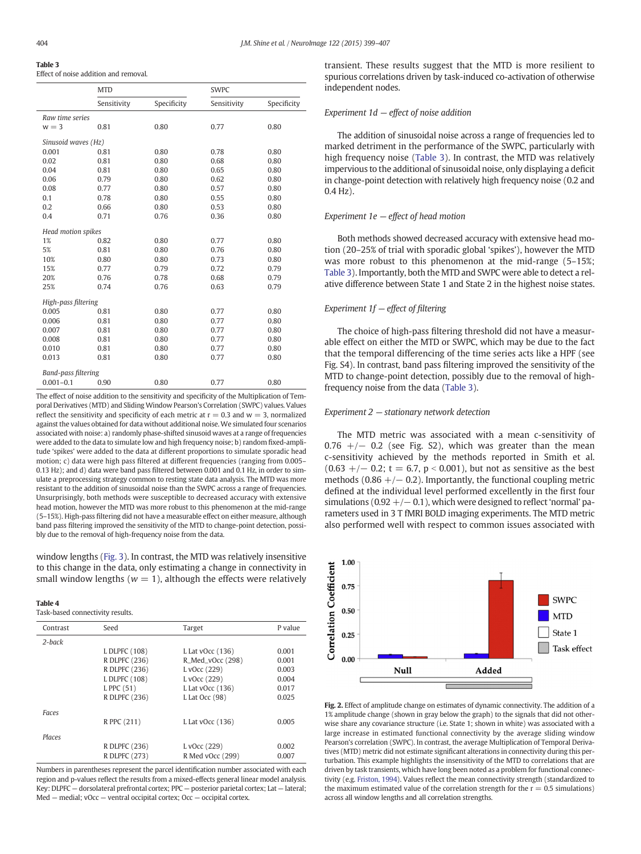#### <span id="page-5-0"></span>Table 3 Effect of noise addition and removal.

|                            | <b>MTD</b>  |             | <b>SWPC</b> |             |  |  |
|----------------------------|-------------|-------------|-------------|-------------|--|--|
|                            | Sensitivity | Specificity | Sensitivity | Specificity |  |  |
| Raw time series            |             |             |             |             |  |  |
| $w = 3$                    | 0.81        | 0.80        | 0.77        | 0.80        |  |  |
| Sinusoid waves (Hz)        |             |             |             |             |  |  |
| 0.001                      | 0.81        | 0.80        | 0.78        | 0.80        |  |  |
| 0.02                       | 0.81        | 0.80        | 0.68        | 0.80        |  |  |
| 0.04                       | 0.81        | 0.80        | 0.65        | 0.80        |  |  |
| 0.06                       | 0.79        | 0.80        | 0.62        | 0.80        |  |  |
| 0.08                       | 0.77        | 0.80        | 0.57        | 0.80        |  |  |
| 0.1                        | 0.78        | 0.80        | 0.55        | 0.80        |  |  |
| 0.2                        | 0.66        | 0.80        | 0.53        | 0.80        |  |  |
| 0.4                        | 0.71        | 0.76        | 0.36        | 0.80        |  |  |
| Head motion spikes         |             |             |             |             |  |  |
| 1%                         | 0.82        | 0.80        | 0.77        | 0.80        |  |  |
| 5%                         | 0.81        | 0.80        | 0.76        | 0.80        |  |  |
| 10%                        | 0.80        | 0.80        | 0.73        | 0.80        |  |  |
| 15%                        | 0.77        | 0.79        | 0.72        | 0.79        |  |  |
| 20%                        | 0.76        | 0.78        | 0.68        | 0.79        |  |  |
| 25%                        | 0.74        | 0.76        | 0.63        | 0.79        |  |  |
| High-pass filtering        |             |             |             |             |  |  |
| 0.005                      | 0.81        | 0.80        | 0.77        | 0.80        |  |  |
| 0.006                      | 0.81        | 0.80        | 0.77        | 0.80        |  |  |
| 0.007                      | 0.81        | 0.80        | 0.77        | 0.80        |  |  |
| 0.008                      | 0.81        | 0.80        | 0.77        | 0.80        |  |  |
| 0.010                      | 0.81        | 0.80        | 0.77        | 0.80        |  |  |
| 0.013                      | 0.81        | 0.80        | 0.77        | 0.80        |  |  |
| <b>Band-pass filtering</b> |             |             |             |             |  |  |
| $0.001 - 0.1$              | 0.90        | 0.80        | 0.77        | 0.80        |  |  |

The effect of noise addition to the sensitivity and specificity of the Multiplication of Temporal Derivatives (MTD) and Sliding Window Pearson's Correlation (SWPC) values. Values reflect the sensitivity and specificity of each metric at  $r = 0.3$  and  $w = 3$ , normalized against the values obtained for data without additional noise. We simulated four scenarios associated with noise: a) randomly phase-shifted sinusoid waves at a range of frequencies were added to the data to simulate low and high frequency noise; b) random fixed-amplitude 'spikes' were added to the data at different proportions to simulate sporadic head motion; c) data were high pass filtered at different frequencies (ranging from 0.005– 0.13 Hz); and d) data were band pass filtered between 0.001 and 0.1 Hz, in order to simulate a preprocessing strategy common to resting state data analysis. The MTD was more resistant to the addition of sinusoidal noise than the SWPC across a range of frequencies. Unsurprisingly, both methods were susceptible to decreased accuracy with extensive head motion, however the MTD was more robust to this phenomenon at the mid-range (5–15%). High-pass filtering did not have a measurable effect on either measure, although band pass filtering improved the sensitivity of the MTD to change-point detection, possibly due to the removal of high-frequency noise from the data.

window lengths [\(Fig. 3\)](#page-6-0). In contrast, the MTD was relatively insensitive to this change in the data, only estimating a change in connectivity in small window lengths ( $w = 1$ ), although the effects were relatively

### Table 4

Task-based connectivity results.

| Contrast  | Seed          | Target            | P value |
|-----------|---------------|-------------------|---------|
| $2$ -back |               |                   |         |
|           | L DLPFC (108) | L Lat $vOcc(136)$ | 0.001   |
|           | R DLPFC (236) | R_Med_vOcc (298)  | 0.001   |
|           | R DLPFC (236) | L vOcc (229)      | 0.003   |
|           | L DLPFC (108) | L vOcc (229)      | 0.004   |
|           | L PPC (51)    | L Lat $vOcc(136)$ | 0.017   |
|           | R DLPFC (236) | L Lat Occ $(98)$  | 0.025   |
| Faces     |               |                   |         |
|           | R PPC (211)   | L Lat $vOcc(136)$ | 0.005   |
| Places    |               |                   |         |
|           | R DLPFC (236) | L vOcc (229)      | 0.002   |
|           | R DLPFC (273) | R Med vOcc (299)  | 0.007   |

Numbers in parentheses represent the parcel identification number associated with each region and p-values reflect the results from a mixed-effects general linear model analysis. Key: DLPFC — dorsolateral prefrontal cortex; PPC — posterior parietal cortex; Lat — lateral; Med — medial; vOcc — ventral occipital cortex; Occ — occipital cortex.

transient. These results suggest that the MTD is more resilient to spurious correlations driven by task-induced co-activation of otherwise independent nodes.

# Experiment  $1d$  – effect of noise addition

The addition of sinusoidal noise across a range of frequencies led to marked detriment in the performance of the SWPC, particularly with high frequency noise (Table 3). In contrast, the MTD was relatively impervious to the additional of sinusoidal noise, only displaying a deficit in change-point detection with relatively high frequency noise (0.2 and  $0.4$  Hz).

# Experiment 1e — effect of head motion

Both methods showed decreased accuracy with extensive head motion (20–25% of trial with sporadic global 'spikes'), however the MTD was more robust to this phenomenon at the mid-range (5–15%; Table 3). Importantly, both the MTD and SWPC were able to detect a relative difference between State 1 and State 2 in the highest noise states.

# Experiment  $1f$  – effect of filtering

The choice of high-pass filtering threshold did not have a measurable effect on either the MTD or SWPC, which may be due to the fact that the temporal differencing of the time series acts like a HPF (see Fig. S4). In contrast, band pass filtering improved the sensitivity of the MTD to change-point detection, possibly due to the removal of highfrequency noise from the data (Table 3).

# Experiment 2 — stationary network detection

The MTD metric was associated with a mean c-sensitivity of  $0.76$  +/- 0.2 (see Fig. S2), which was greater than the mean c-sensitivity achieved by the methods reported in Smith et al.  $(0.63 +/- 0.2; t = 6.7, p < 0.001)$ , but not as sensitive as the best methods (0.86  $+/-$  0.2). Importantly, the functional coupling metric defined at the individual level performed excellently in the first four simulations ( $0.92 +/- 0.1$ ), which were designed to reflect 'normal' parameters used in 3 T fMRI BOLD imaging experiments. The MTD metric also performed well with respect to common issues associated with



Fig. 2. Effect of amplitude change on estimates of dynamic connectivity. The addition of a 1% amplitude change (shown in gray below the graph) to the signals that did not otherwise share any covariance structure (i.e. State 1; shown in white) was associated with a large increase in estimated functional connectivity by the average sliding window Pearson's correlation (SWPC). In contrast, the average Multiplication of Temporal Derivatives (MTD) metric did not estimate significant alterations in connectivity during this perturbation. This example highlights the insensitivity of the MTD to correlations that are driven by task transients, which have long been noted as a problem for functional connectivity (e.g. [Friston, 1994](#page-8-0)). Values reflect the mean connectivity strength (standardized to the maximum estimated value of the correlation strength for the  $r = 0.5$  simulations) across all window lengths and all correlation strengths.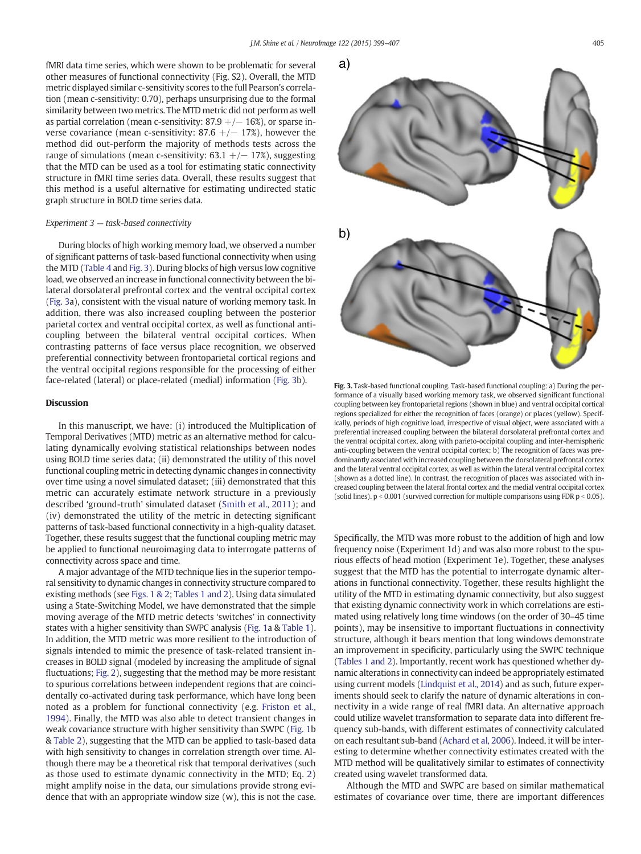a)

<span id="page-6-0"></span>fMRI data time series, which were shown to be problematic for several other measures of functional connectivity (Fig. S2). Overall, the MTD metric displayed similar c-sensitivity scores to the full Pearson's correlation (mean c-sensitivity: 0.70), perhaps unsurprising due to the formal similarity between two metrics. The MTD metric did not perform as well as partial correlation (mean c-sensitivity:  $87.9 + / - 16%$ ), or sparse inverse covariance (mean c-sensitivity: 87.6  $+/- 17$ %), however the method did out-perform the majority of methods tests across the range of simulations (mean c-sensitivity:  $63.1 + / - 17\%$ ), suggesting that the MTD can be used as a tool for estimating static connectivity structure in fMRI time series data. Overall, these results suggest that this method is a useful alternative for estimating undirected static graph structure in BOLD time series data.

# Experiment 3 — task-based connectivity

During blocks of high working memory load, we observed a number of significant patterns of task-based functional connectivity when using the MTD [\(Table 4](#page-5-0) and Fig. 3). During blocks of high versus low cognitive load, we observed an increase in functional connectivity between the bilateral dorsolateral prefrontal cortex and the ventral occipital cortex (Fig. 3a), consistent with the visual nature of working memory task. In addition, there was also increased coupling between the posterior parietal cortex and ventral occipital cortex, as well as functional anticoupling between the bilateral ventral occipital cortices. When contrasting patterns of face versus place recognition, we observed preferential connectivity between frontoparietal cortical regions and the ventral occipital regions responsible for the processing of either face-related (lateral) or place-related (medial) information (Fig. 3b).

#### **Discussion**

In this manuscript, we have: (i) introduced the Multiplication of Temporal Derivatives (MTD) metric as an alternative method for calculating dynamically evolving statistical relationships between nodes using BOLD time series data; (ii) demonstrated the utility of this novel functional coupling metric in detecting dynamic changes in connectivity over time using a novel simulated dataset; (iii) demonstrated that this metric can accurately estimate network structure in a previously described 'ground-truth' simulated dataset ([Smith et al., 2011](#page-8-0)); and (iv) demonstrated the utility of the metric in detecting significant patterns of task-based functional connectivity in a high-quality dataset. Together, these results suggest that the functional coupling metric may be applied to functional neuroimaging data to interrogate patterns of connectivity across space and time.

A major advantage of the MTD technique lies in the superior temporal sensitivity to dynamic changes in connectivity structure compared to existing methods (see [Figs. 1 & 2](#page-3-0); [Tables 1 and 2](#page-4-0)). Using data simulated using a State-Switching Model, we have demonstrated that the simple moving average of the MTD metric detects 'switches' in connectivity states with a higher sensitivity than SWPC analysis [\(Fig. 1a](#page-3-0) & [Table 1](#page-4-0)). In addition, the MTD metric was more resilient to the introduction of signals intended to mimic the presence of task-related transient increases in BOLD signal (modeled by increasing the amplitude of signal fluctuations; [Fig. 2\)](#page-5-0), suggesting that the method may be more resistant to spurious correlations between independent regions that are coincidentally co-activated during task performance, which have long been noted as a problem for functional connectivity (e.g. [Friston et al.,](#page-8-0) [1994\)](#page-8-0). Finally, the MTD was also able to detect transient changes in weak covariance structure with higher sensitivity than SWPC ([Fig. 1](#page-3-0)b & [Table 2](#page-4-0)), suggesting that the MTD can be applied to task-based data with high sensitivity to changes in correlation strength over time. Although there may be a theoretical risk that temporal derivatives (such as those used to estimate dynamic connectivity in the MTD; Eq. [2](#page-1-0)) might amplify noise in the data, our simulations provide strong evidence that with an appropriate window size (w), this is not the case.





Fig. 3. Task-based functional coupling. Task-based functional coupling: a) During the performance of a visually based working memory task, we observed significant functional coupling between key frontoparietal regions (shown in blue) and ventral occipital cortical regions specialized for either the recognition of faces (orange) or places (yellow). Specifically, periods of high cognitive load, irrespective of visual object, were associated with a preferential increased coupling between the bilateral dorsolateral prefrontal cortex and the ventral occipital cortex, along with parieto-occipital coupling and inter-hemispheric anti-coupling between the ventral occipital cortex; b) The recognition of faces was predominantly associated with increased coupling between the dorsolateral prefrontal cortex and the lateral ventral occipital cortex, as well as within the lateral ventral occipital cortex (shown as a dotted line). In contrast, the recognition of places was associated with increased coupling between the lateral frontal cortex and the medial ventral occipital cortex (solid lines).  $p < 0.001$  (survived correction for multiple comparisons using FDR  $p < 0.05$ ).

Specifically, the MTD was more robust to the addition of high and low frequency noise (Experiment 1d) and was also more robust to the spurious effects of head motion (Experiment 1e). Together, these analyses suggest that the MTD has the potential to interrogate dynamic alterations in functional connectivity. Together, these results highlight the utility of the MTD in estimating dynamic connectivity, but also suggest that existing dynamic connectivity work in which correlations are estimated using relatively long time windows (on the order of 30–45 time points), may be insensitive to important fluctuations in connectivity structure, although it bears mention that long windows demonstrate an improvement in specificity, particularly using the SWPC technique [\(Tables 1 and 2](#page-4-0)). Importantly, recent work has questioned whether dynamic alterations in connectivity can indeed be appropriately estimated using current models [\(Lindquist et al., 2014](#page-8-0)) and as such, future experiments should seek to clarify the nature of dynamic alterations in connectivity in a wide range of real fMRI data. An alternative approach could utilize wavelet transformation to separate data into different frequency sub-bands, with different estimates of connectivity calculated on each resultant sub-band [\(Achard et al, 2006\)](#page-8-0). Indeed, it will be interesting to determine whether connectivity estimates created with the MTD method will be qualitatively similar to estimates of connectivity created using wavelet transformed data.

Although the MTD and SWPC are based on similar mathematical estimates of covariance over time, there are important differences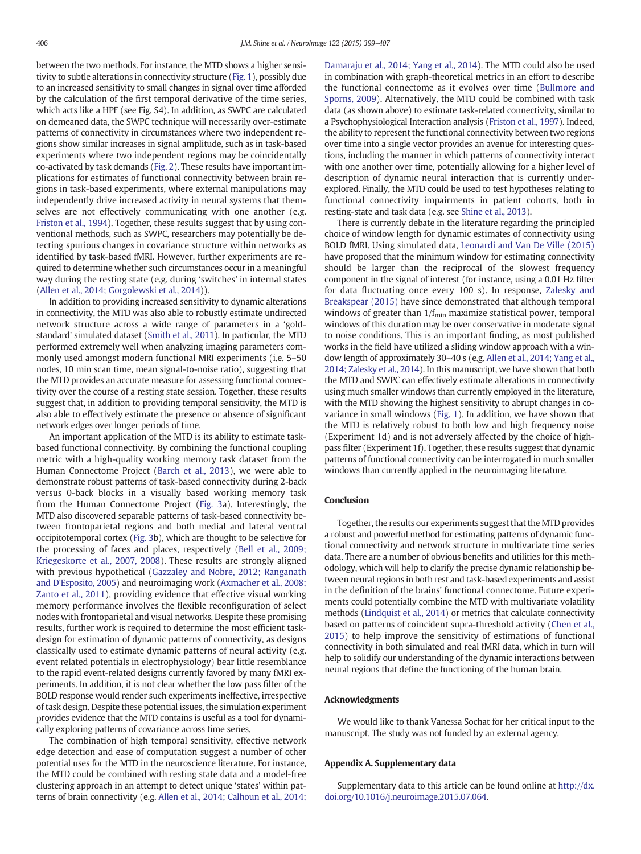between the two methods. For instance, the MTD shows a higher sensitivity to subtle alterations in connectivity structure [\(Fig. 1](#page-3-0)), possibly due to an increased sensitivity to small changes in signal over time afforded by the calculation of the first temporal derivative of the time series, which acts like a HPF (see Fig. S4). In addition, as SWPC are calculated on demeaned data, the SWPC technique will necessarily over-estimate patterns of connectivity in circumstances where two independent regions show similar increases in signal amplitude, such as in task-based experiments where two independent regions may be coincidentally co-activated by task demands [\(Fig. 2](#page-5-0)). These results have important implications for estimates of functional connectivity between brain regions in task-based experiments, where external manipulations may independently drive increased activity in neural systems that themselves are not effectively communicating with one another (e.g. [Friston et al., 1994\)](#page-8-0). Together, these results suggest that by using conventional methods, such as SWPC, researchers may potentially be detecting spurious changes in covariance structure within networks as identified by task-based fMRI. However, further experiments are required to determine whether such circumstances occur in a meaningful way during the resting state (e.g. during 'switches' in internal states [\(Allen et al., 2014; Gorgolewski et al., 2014](#page-8-0))).

In addition to providing increased sensitivity to dynamic alterations in connectivity, the MTD was also able to robustly estimate undirected network structure across a wide range of parameters in a 'goldstandard' simulated dataset [\(Smith et al., 2011](#page-8-0)). In particular, the MTD performed extremely well when analyzing imaging parameters commonly used amongst modern functional MRI experiments (i.e. 5–50 nodes, 10 min scan time, mean signal-to-noise ratio), suggesting that the MTD provides an accurate measure for assessing functional connectivity over the course of a resting state session. Together, these results suggest that, in addition to providing temporal sensitivity, the MTD is also able to effectively estimate the presence or absence of significant network edges over longer periods of time.

An important application of the MTD is its ability to estimate taskbased functional connectivity. By combining the functional coupling metric with a high-quality working memory task dataset from the Human Connectome Project [\(Barch et al., 2013](#page-8-0)), we were able to demonstrate robust patterns of task-based connectivity during 2-back versus 0-back blocks in a visually based working memory task from the Human Connectome Project ([Fig. 3a](#page-6-0)). Interestingly, the MTD also discovered separable patterns of task-based connectivity between frontoparietal regions and both medial and lateral ventral occipitotemporal cortex [\(Fig. 3b](#page-6-0)), which are thought to be selective for the processing of faces and places, respectively ([Bell et al., 2009;](#page-8-0) [Kriegeskorte et al., 2007, 2008\)](#page-8-0). These results are strongly aligned with previous hypothetical ([Gazzaley and Nobre, 2012; Ranganath](#page-8-0) [and D'Esposito, 2005\)](#page-8-0) and neuroimaging work [\(Axmacher et al., 2008;](#page-8-0) [Zanto et al., 2011\)](#page-8-0), providing evidence that effective visual working memory performance involves the flexible reconfiguration of select nodes with frontoparietal and visual networks. Despite these promising results, further work is required to determine the most efficient taskdesign for estimation of dynamic patterns of connectivity, as designs classically used to estimate dynamic patterns of neural activity (e.g. event related potentials in electrophysiology) bear little resemblance to the rapid event-related designs currently favored by many fMRI experiments. In addition, it is not clear whether the low pass filter of the BOLD response would render such experiments ineffective, irrespective of task design. Despite these potential issues, the simulation experiment provides evidence that the MTD contains is useful as a tool for dynamically exploring patterns of covariance across time series.

The combination of high temporal sensitivity, effective network edge detection and ease of computation suggest a number of other potential uses for the MTD in the neuroscience literature. For instance, the MTD could be combined with resting state data and a model-free clustering approach in an attempt to detect unique 'states' within patterns of brain connectivity (e.g. [Allen et al., 2014; Calhoun et al., 2014;](#page-8-0) [Damaraju et al., 2014; Yang et al., 2014\)](#page-8-0). The MTD could also be used in combination with graph-theoretical metrics in an effort to describe the functional connectome as it evolves over time ([Bullmore and](#page-8-0) [Sporns, 2009\)](#page-8-0). Alternatively, the MTD could be combined with task data (as shown above) to estimate task-related connectivity, similar to a Psychophysiological Interaction analysis ([Friston et al., 1997\)](#page-8-0). Indeed, the ability to represent the functional connectivity between two regions over time into a single vector provides an avenue for interesting questions, including the manner in which patterns of connectivity interact with one another over time, potentially allowing for a higher level of description of dynamic neural interaction that is currently underexplored. Finally, the MTD could be used to test hypotheses relating to functional connectivity impairments in patient cohorts, both in resting-state and task data (e.g. see [Shine et al., 2013](#page-8-0)).

There is currently debate in the literature regarding the principled choice of window length for dynamic estimates of connectivity using BOLD fMRI. Using simulated data, [Leonardi and Van De Ville \(2015\)](#page-8-0) have proposed that the minimum window for estimating connectivity should be larger than the reciprocal of the slowest frequency component in the signal of interest (for instance, using a 0.01 Hz filter for data fluctuating once every 100 s). In response, [Zalesky and](#page-8-0) [Breakspear \(2015\)](#page-8-0) have since demonstrated that although temporal windows of greater than  $1/f_{\text{min}}$  maximize statistical power, temporal windows of this duration may be over conservative in moderate signal to noise conditions. This is an important finding, as most published works in the field have utilized a sliding window approach with a window length of approximately 30–40 s (e.g. [Allen et al., 2014; Yang et al.,](#page-8-0) [2014; Zalesky et al., 2014\)](#page-8-0). In this manuscript, we have shown that both the MTD and SWPC can effectively estimate alterations in connectivity using much smaller windows than currently employed in the literature, with the MTD showing the highest sensitivity to abrupt changes in covariance in small windows [\(Fig. 1\)](#page-3-0). In addition, we have shown that the MTD is relatively robust to both low and high frequency noise (Experiment 1d) and is not adversely affected by the choice of highpass filter (Experiment 1f). Together, these results suggest that dynamic patterns of functional connectivity can be interrogated in much smaller windows than currently applied in the neuroimaging literature.

# Conclusion

Together, the results our experiments suggest that the MTD provides a robust and powerful method for estimating patterns of dynamic functional connectivity and network structure in multivariate time series data. There are a number of obvious benefits and utilities for this methodology, which will help to clarify the precise dynamic relationship between neural regions in both rest and task-based experiments and assist in the definition of the brains' functional connectome. Future experiments could potentially combine the MTD with multivariate volatility methods ([Lindquist et al., 2014\)](#page-8-0) or metrics that calculate connectivity based on patterns of coincident supra-threshold activity ([Chen et al.,](#page-8-0) [2015](#page-8-0)) to help improve the sensitivity of estimations of functional connectivity in both simulated and real fMRI data, which in turn will help to solidify our understanding of the dynamic interactions between neural regions that define the functioning of the human brain.

#### Acknowledgments

We would like to thank Vanessa Sochat for her critical input to the manuscript. The study was not funded by an external agency.

#### Appendix A. Supplementary data

Supplementary data to this article can be found online at [http://dx.](http://dx.doi.org/10.1016/j.neuroimage.2015.07.064) [doi.org/10.1016/j.neuroimage.2015.07.064](http://dx.doi.org/10.1016/j.neuroimage.2015.07.064).